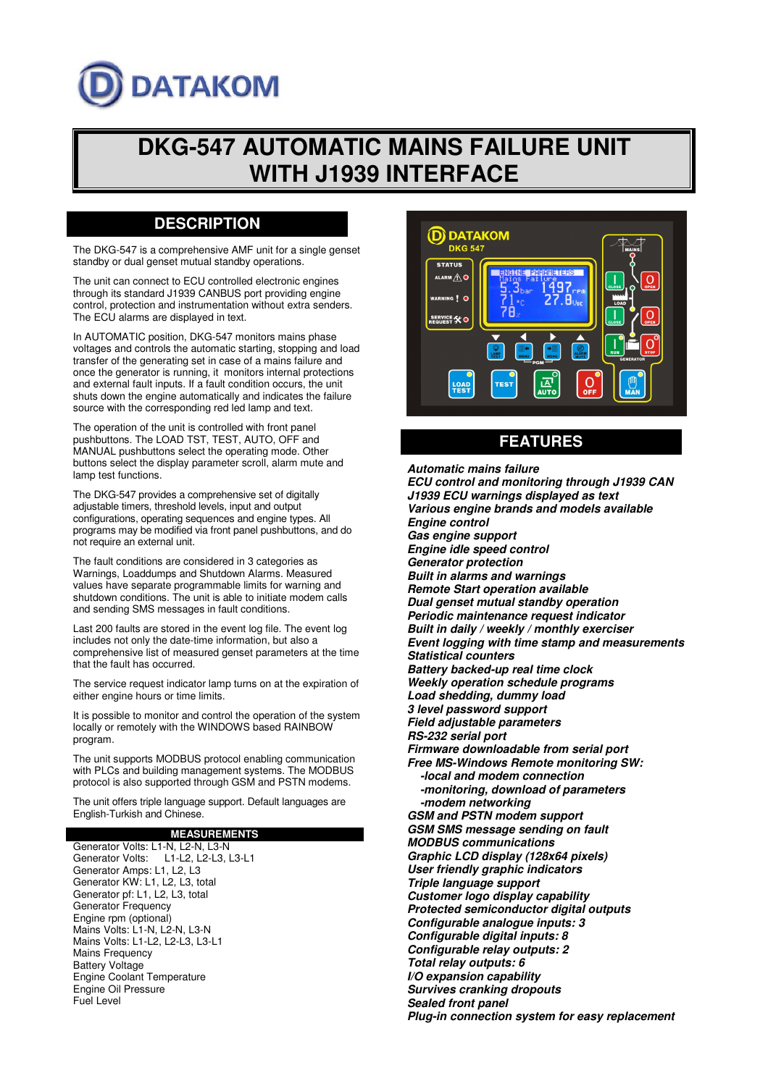# **DATAKOM**

## **DKG-547 AUTOMATIC MAINS FAILURE UNIT WITH J1939 INTERFACE**

## **DESCRIPTION**

The DKG-547 is a comprehensive AMF unit for a single genset standby or dual genset mutual standby operations.

The unit can connect to ECU controlled electronic engines through its standard J1939 CANBUS port providing engine control, protection and instrumentation without extra senders. The ECU alarms are displayed in text.

In AUTOMATIC position, DKG-547 monitors mains phase voltages and controls the automatic starting, stopping and load transfer of the generating set in case of a mains failure and once the generator is running, it monitors internal protections and external fault inputs. If a fault condition occurs, the unit shuts down the engine automatically and indicates the failure source with the corresponding red led lamp and text.

The operation of the unit is controlled with front panel pushbuttons. The LOAD TST, TEST, AUTO, OFF and MANUAL pushbuttons select the operating mode. Other buttons select the display parameter scroll, alarm mute and lamp test functions.

The DKG-547 provides a comprehensive set of digitally adjustable timers, threshold levels, input and output configurations, operating sequences and engine types. All programs may be modified via front panel pushbuttons, and do not require an external unit.

The fault conditions are considered in 3 categories as Warnings, Loaddumps and Shutdown Alarms. Measured values have separate programmable limits for warning and shutdown conditions. The unit is able to initiate modem calls and sending SMS messages in fault conditions.

Last 200 faults are stored in the event log file. The event log includes not only the date-time information, but also a comprehensive list of measured genset parameters at the time that the fault has occurred.

The service request indicator lamp turns on at the expiration of either engine hours or time limits.

It is possible to monitor and control the operation of the system locally or remotely with the WINDOWS based RAINBOW program.

The unit supports MODBUS protocol enabling communication with PLCs and building management systems. The MODBUS protocol is also supported through GSM and PSTN modems.

The unit offers triple language support. Default languages are English-Turkish and Chinese.

### **MEASUREMENTS**

Generator Volts: L1-N, L2-N, L3-N Generator Volts: L1-L2, L2-L3, L3-L1 Generator Amps: L1, L2, L3 Generator KW: L1, L2, L3, total Generator pf: L1, L2, L3, total Generator Frequency Engine rpm (optional) Mains Volts: L1-N, L2-N, L3-N Mains Volts: L1-L2, L2-L3, L3-L1 Mains Frequency Battery Voltage Engine Coolant Temperature Engine Oil Pressure Fuel Level



## **FEATURES**

**Automatic mains failure ECU control and monitoring through J1939 CAN J1939 ECU warnings displayed as text Various engine brands and models available Engine control Gas engine support Engine idle speed control Generator protection Built in alarms and warnings Remote Start operation available Dual genset mutual standby operation Periodic maintenance request indicator Built in daily / weekly / monthly exerciser Event logging with time stamp and measurements Statistical counters Battery backed-up real time clock Weekly operation schedule programs Load shedding, dummy load 3 level password support Field adjustable parameters RS-232 serial port Firmware downloadable from serial port Free MS-Windows Remote monitoring SW: -local and modem connection -monitoring, download of parameters -modem networking GSM and PSTN modem support GSM SMS message sending on fault MODBUS communications Graphic LCD display (128x64 pixels) User friendly graphic indicators Triple language support Customer logo display capability Protected semiconductor digital outputs Configurable analogue inputs: 3 Configurable digital inputs: 8 Configurable relay outputs: 2 Total relay outputs: 6 I/O expansion capability Survives cranking dropouts Sealed front panel Plug-in connection system for easy replacement**